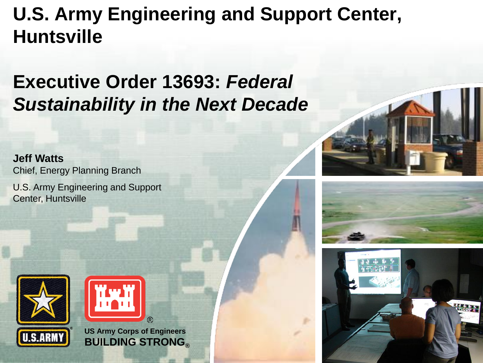### **U.S. Army Engineering and Support Center, Huntsville**

### **Executive Order 13693:** *Federal Sustainability in the Next Decade*

**Jeff Watts** Chief, Energy Planning Branch U.S. Army Engineering and Support Center, Huntsville





**US Army Corps of Engineers BUILDING STRONG®**





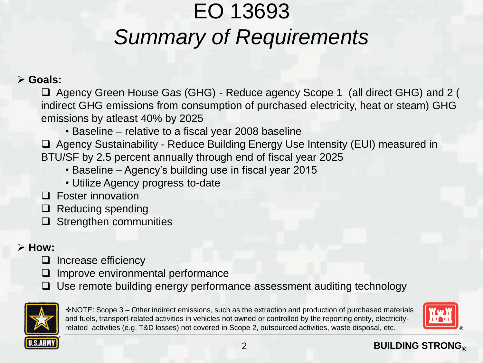### EO 13693 *Summary of Requirements*

#### ➢ **Goals:**

❑ Agency Green House Gas (GHG) - Reduce agency Scope 1 (all direct GHG) and 2 ( indirect GHG emissions from consumption of purchased electricity, heat or steam) GHG emissions by atleast 40% by 2025

• Baseline – relative to a fiscal year 2008 baseline

❑ Agency Sustainability - Reduce Building Energy Use Intensity (EUI) measured in BTU/SF by 2.5 percent annually through end of fiscal year 2025

- Baseline Agency's building use in fiscal year 2015
- Utilize Agency progress to-date
- ❑ Foster innovation
- ❑ Reducing spending
- ❑ Strengthen communities

#### ➢ **How:**

- ❑ Increase efficiency
- ❑ Improve environmental performance
- ❑ Use remote building energy performance assessment auditing technology



❖NOTE: Scope 3 – Other indirect emissions, such as the extraction and production of purchased materials and fuels, transport-related activities in vehicles not owned or controlled by the reporting entity, electricityrelated activities (e.g. T&D losses) not covered in Scope 2, outsourced activities, waste disposal, etc.



#### **BUILDING STRONG®**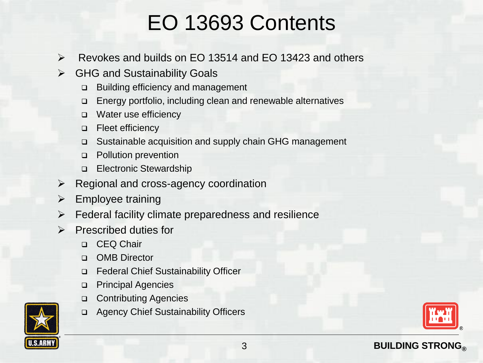### EO 13693 Contents

- ➢ Revokes and builds on EO 13514 and EO 13423 and others
- ➢ GHG and Sustainability Goals
	- ❑ Building efficiency and management
	- ❑ Energy portfolio, including clean and renewable alternatives
	- ❑ Water use efficiency
	- ❑ Fleet efficiency
	- ❑ Sustainable acquisition and supply chain GHG management
	- ❑ Pollution prevention
	- ❑ Electronic Stewardship
- ➢ Regional and cross-agency coordination
- $\triangleright$  Employee training
- ➢ Federal facility climate preparedness and resilience
- ➢ Prescribed duties for
	- ❑ CEQ Chair
	- ❑ OMB Director
	- ❑ Federal Chief Sustainability Officer
	- ❑ Principal Agencies
	- ❑ Contributing Agencies
	- ❑ Agency Chief Sustainability Officers



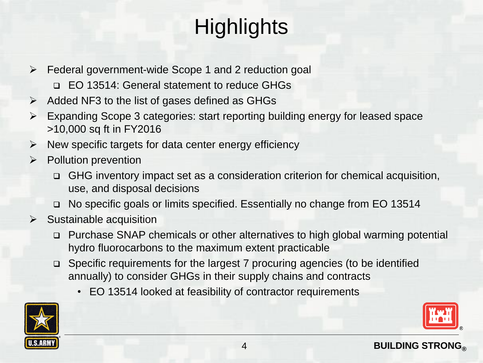### **Highlights**

- ➢ Federal government-wide Scope 1 and 2 reduction goal
	- ❑ EO 13514: General statement to reduce GHGs
- $\triangleright$  Added NF3 to the list of gases defined as GHGs
- ➢ Expanding Scope 3 categories: start reporting building energy for leased space >10,000 sq ft in FY2016
- $\triangleright$  New specific targets for data center energy efficiency
- ➢ Pollution prevention
	- ❑ GHG inventory impact set as a consideration criterion for chemical acquisition, use, and disposal decisions
	- ❑ No specific goals or limits specified. Essentially no change from EO 13514
- $\triangleright$  Sustainable acquisition
	- ❑ Purchase SNAP chemicals or other alternatives to high global warming potential hydro fluorocarbons to the maximum extent practicable
	- ❑ Specific requirements for the largest 7 procuring agencies (to be identified annually) to consider GHGs in their supply chains and contracts
		- EO 13514 looked at feasibility of contractor requirements

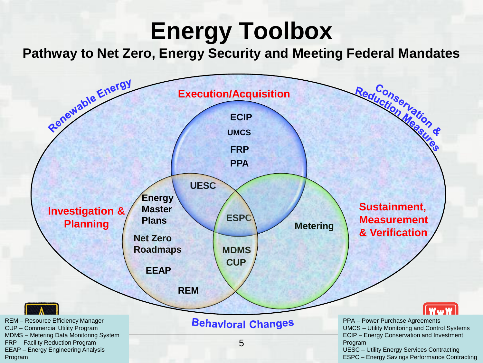## **Energy Toolbox**

**Pathway to Net Zero, Energy Security and Meeting Federal Mandates**

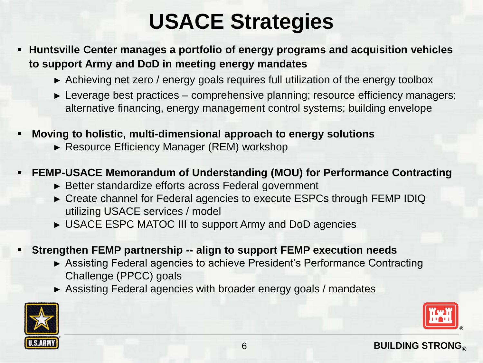### **USACE Strategies**

- **Huntsville Center manages a portfolio of energy programs and acquisition vehicles to support Army and DoD in meeting energy mandates** 
	- ► Achieving net zero / energy goals requires full utilization of the energy toolbox
	- ► Leverage best practices comprehensive planning; resource efficiency managers; alternative financing, energy management control systems; building envelope
- **Moving to holistic, multi-dimensional approach to energy solutions** 
	- ► Resource Efficiency Manager (REM) workshop
- **EEMP-USACE Memorandum of Understanding (MOU) for Performance Contracting** 
	- ► Better standardize efforts across Federal government
	- ► Create channel for Federal agencies to execute ESPCs through FEMP IDIQ utilizing USACE services / model
	- ► USACE ESPC MATOC III to support Army and DoD agencies
- **Strengthen FEMP partnership -- align to support FEMP execution needs** 
	- ► Assisting Federal agencies to achieve President's Performance Contracting Challenge (PPCC) goals
	- ► Assisting Federal agencies with broader energy goals / mandates



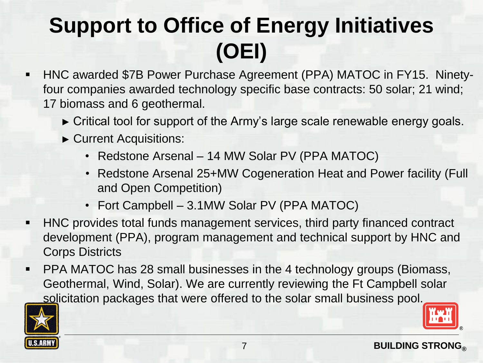### **Support to Office of Energy Initiatives (OEI)**

- HNC awarded \$7B Power Purchase Agreement (PPA) MATOC in FY15. Ninetyfour companies awarded technology specific base contracts: 50 solar; 21 wind; 17 biomass and 6 geothermal.
	- ► Critical tool for support of the Army's large scale renewable energy goals.
	- ► Current Acquisitions:
		- Redstone Arsenal 14 MW Solar PV (PPA MATOC)
		- Redstone Arsenal 25+MW Cogeneration Heat and Power facility (Full and Open Competition)
		- Fort Campbell 3.1MW Solar PV (PPA MATOC)
- HNC provides total funds management services, third party financed contract development (PPA), program management and technical support by HNC and Corps Districts
- PPA MATOC has 28 small businesses in the 4 technology groups (Biomass, Geothermal, Wind, Solar). We are currently reviewing the Ft Campbell solar solicitation packages that were offered to the solar small business pool.

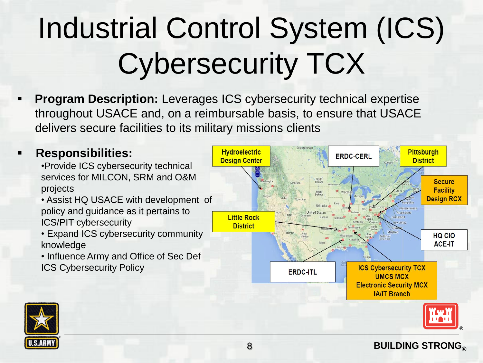# Industrial Control System (ICS) Cybersecurity TCX

**Program Description:** Leverages ICS cybersecurity technical expertise throughout USACE and, on a reimbursable basis, to ensure that USACE delivers secure facilities to its military missions clients

#### ▪ **Responsibilities:**

•Provide ICS cybersecurity technical services for MILCON, SRM and O&M projects

• Assist HQ USACE with development of policy and guidance as it pertains to ICS/PIT cybersecurity

• Expand ICS cybersecurity community knowledge

• Influence Army and Office of Sec Def ICS Cybersecurity Policy



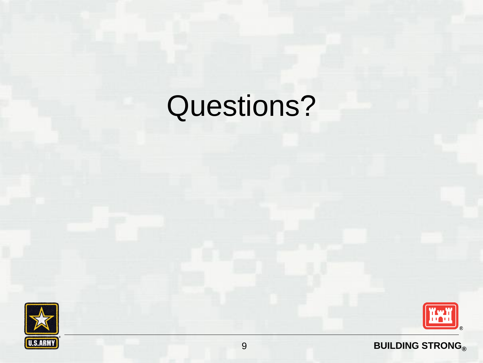# Questions?





#### **BUILDING STRONG®**